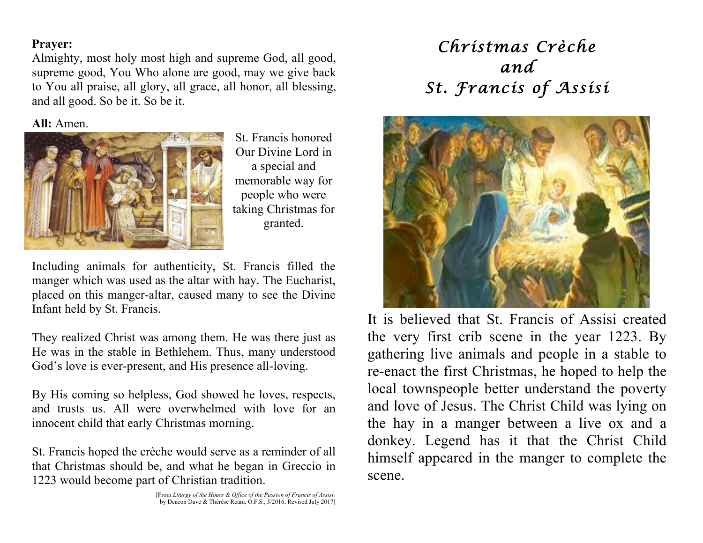## **Prayer:**

Almighty, most holy most high and supreme God, all good, supreme good, You Who alone are good, may we give back to You all praise, all glory, all grace, all honor, all blessing, and all good. So be it. So be it.

**All:** Amen.



St. Francis honored Our Divine Lord in a special and memorable way for people who were taking Christmas for granted.

Including animals for authenticity, St. Francis filled the manger which was used as the altar with hay. The Eucharist, placed on this manger-altar, caused many to see the Divine Infant held by St. Francis.

They realized Christ was among them. He was there just as He was in the stable in Bethlehem. Thus, many understood God's love is ever-present, and His presence all-loving.

By His coming so helpless, God showed he loves, respects, and trusts us. All were overwhelmed with love for an innocent child that early Christmas morning.

St. Francis hoped the crèche would serve as a reminder of all that Christmas should be, and what he began in Greccio in 1223 would become part of Christian tradition.

## *Christmas Crèche and St. Francis of Assisi*



It is believed that St. Francis of Assisi created the very first crib scene in the year 1223. By gathering live animals and people in a stable to re-enact the first Christmas, he hoped to help the local townspeople better understand the poverty and love of Jesus. The Christ Child was lying on the hay in a manger between a live ox and a donkey. Legend has it that the Christ Child himself appeared in the manger to complete the scene.